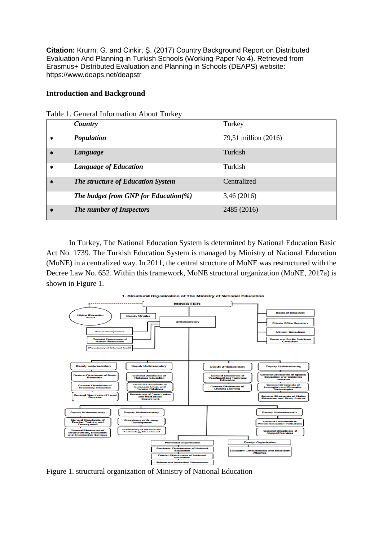**Citation:** Krurm, G. and Cinkir, Ş. (2017) Country Background Report on Distributed Evaluation And Planning in Turkish Schools (Working Paper No.4). Retrieved from Erasmus+ Distributed Evaluation and Planning in Schools (DEAPS) website: https://www.deaps.net/deapstr

### **Introduction and Background**

|         | Country                              | Turkey               |
|---------|--------------------------------------|----------------------|
| $\star$ | Population                           | 79,51 million (2016) |
| $\ast$  | Language                             | Turkish              |
| *       | <b>Language of Education</b>         | Turkish              |
| $*$     | The structure of Education System    | Centralized          |
|         | The budget from GNP for Education(%) | 3,46 (2016)          |
| $*$     | The number of Inspectors             | 2485 (2016)          |

In Turkey, The National Education System is determined by National Education Basic Act No. 1739. The Turkish Education System is managed by Ministry of National Education (MoNE) in a centralized way. In 2011, the central structure of MoNE was restructured with the Decree Law No. 652. Within this framework, MoNE structural organization (MoNE, 2017a) is shown in Figure 1.



Figure 1. structural organization of Ministry of National Education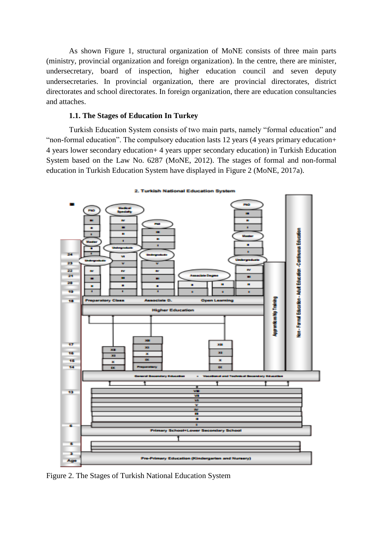As shown Figure 1, structural organization of MoNE consists of three main parts (ministry, provincial organization and foreign organization). In the centre, there are minister, undersecretary, board of inspection, higher education council and seven deputy undersecretaries. In provincial organization, there are provincial directorates, district directorates and school directorates. In foreign organization, there are education consultancies and attaches.

### **1.1. The Stages of Education In Turkey**

Turkish Education System consists of two main parts, namely "formal education" and "non-formal education". The compulsory education lasts 12 years (4 years primary education+ 4 years lower secondary education+ 4 years upper secondary education) in Turkish Education System based on the Law No. 6287 (MoNE, 2012). The stages of formal and non-formal education in Turkish Education System have displayed in Figure 2 (MoNE, 2017a).



Figure 2. The Stages of Turkish National Education System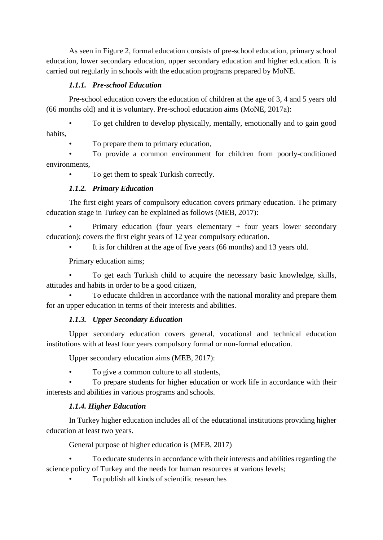As seen in Figure 2, formal education consists of pre-school education, primary school education, lower secondary education, upper secondary education and higher education. It is carried out regularly in schools with the education programs prepared by MoNE.

## *1.1.1. Pre-school Education*

Pre-school education covers the education of children at the age of 3, 4 and 5 years old (66 months old) and it is voluntary. Pre-school education aims (MoNE, 2017a):

• To get children to develop physically, mentally, emotionally and to gain good habits,

• To prepare them to primary education,

• To provide a common environment for children from poorly-conditioned environments,

To get them to speak Turkish correctly.

# *1.1.2. Primary Education*

The first eight years of compulsory education covers primary education. The primary education stage in Turkey can be explained as follows (MEB, 2017):

Primary education (four years elementary  $+$  four years lower secondary education); covers the first eight years of 12 year compulsory education.

It is for children at the age of five years (66 months) and 13 years old.

Primary education aims;

• To get each Turkish child to acquire the necessary basic knowledge, skills, attitudes and habits in order to be a good citizen,

• To educate children in accordance with the national morality and prepare them for an upper education in terms of their interests and abilities.

## *1.1.3. Upper Secondary Education*

Upper secondary education covers general, vocational and technical education institutions with at least four years compulsory formal or non-formal education.

Upper secondary education aims (MEB, 2017):

• To give a common culture to all students,

• To prepare students for higher education or work life in accordance with their interests and abilities in various programs and schools.

## *1.1.4. Higher Education*

In Turkey higher education includes all of the educational institutions providing higher education at least two years.

General purpose of higher education is (MEB, 2017)

• To educate students in accordance with their interests and abilities regarding the science policy of Turkey and the needs for human resources at various levels;

• To publish all kinds of scientific researches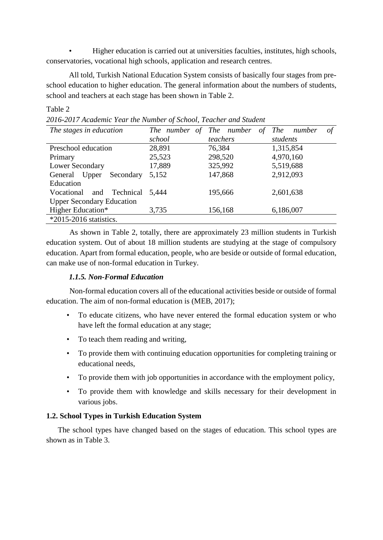• Higher education is carried out at universities faculties, institutes, high schools, conservatories, vocational high schools, application and research centres.

All told, Turkish National Education System consists of basically four stages from preschool education to higher education. The general information about the numbers of students, school and teachers at each stage has been shown in Table 2.

### Table 2

*2016-2017 Academic Year the Number of School, Teacher and Student*

| The stages in education          | The number of The number | οf       | $\sigma f$<br>The<br>number |  |
|----------------------------------|--------------------------|----------|-----------------------------|--|
|                                  | school                   | teachers | students                    |  |
| Preschool education              | 28,891                   | 76,384   | 1,315,854                   |  |
| Primary                          | 25,523                   | 298,520  | 4,970,160                   |  |
| Lower Secondary                  | 17,889                   | 325,992  | 5,519,688                   |  |
| Secondary<br>General<br>Upper    | 5,152                    | 147,868  | 2,912,093                   |  |
| Education                        |                          |          |                             |  |
| and Technical<br>Vocational      | 5,444                    | 195,666  | 2,601,638                   |  |
| <b>Upper Secondary Education</b> |                          |          |                             |  |
| Higher Education*                | 3,735                    | 156,168  | 6,186,007                   |  |
| $*2015-2016$ statistics.         |                          |          |                             |  |

As shown in Table 2, totally, there are approximately 23 million students in Turkish education system. Out of about 18 million students are studying at the stage of compulsory education. Apart from formal education, people, who are beside or outside of formal education, can make use of non-formal education in Turkey.

## *1.1.5. Non-Formal Education*

Non-formal education covers all of the educational activities beside or outside of formal education. The aim of non-formal education is (MEB, 2017);

- To educate citizens, who have never entered the formal education system or who have left the formal education at any stage;
- To teach them reading and writing,
- To provide them with continuing education opportunities for completing training or educational needs,
- To provide them with job opportunities in accordance with the employment policy,
- To provide them with knowledge and skills necessary for their development in various jobs.

## **1.2. School Types in Turkish Education System**

The school types have changed based on the stages of education. This school types are shown as in Table 3.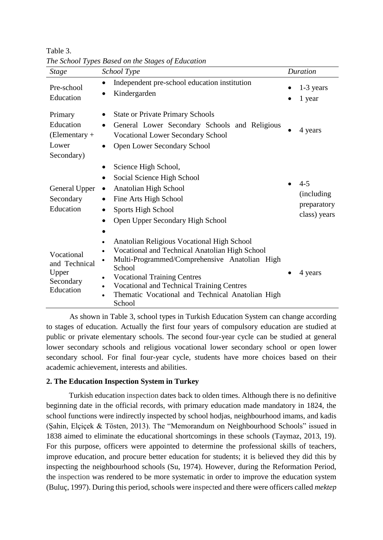| <b>Stage</b>                                                   | ு<br>School Type                                                                                                                                                                                                                                                                                                                          | Duration                                                           |
|----------------------------------------------------------------|-------------------------------------------------------------------------------------------------------------------------------------------------------------------------------------------------------------------------------------------------------------------------------------------------------------------------------------------|--------------------------------------------------------------------|
| Pre-school<br>Education                                        | Independent pre-school education institution<br>Kindergarden                                                                                                                                                                                                                                                                              | 1-3 years<br>1 year                                                |
| Primary<br>Education<br>$(Elementary +$<br>Lower<br>Secondary) | <b>State or Private Primary Schools</b><br>General Lower Secondary Schools and Religious<br>$\bullet$<br><b>Vocational Lower Secondary School</b><br><b>Open Lower Secondary School</b>                                                                                                                                                   | 4 years                                                            |
| General Upper<br>Secondary<br>Education                        | Science High School,<br>Social Science High School<br>Anatolian High School<br>Fine Arts High School<br>Sports High School<br>Open Upper Secondary High School                                                                                                                                                                            | $4 - 5$<br>$\bullet$<br>(including)<br>preparatory<br>class) years |
| Vocational<br>and Technical<br>Upper<br>Secondary<br>Education | Anatolian Religious Vocational High School<br>Vocational and Technical Anatolian High School<br>Multi-Programmed/Comprehensive Anatolian High<br>School<br><b>Vocational Training Centres</b><br>$\bullet$<br><b>Vocational and Technical Training Centres</b><br>Thematic Vocational and Technical Anatolian High<br>$\bullet$<br>School | 4 years                                                            |

Table 3. *The School Types Based on the Stages of Education*

As shown in Table 3, school types in Turkish Education System can change according to stages of education. Actually the first four years of compulsory education are studied at public or private elementary schools. The second four-year cycle can be studied at general lower secondary schools and religious vocational lower secondary school or open lower secondary school. For final four-year cycle, students have more choices based on their academic achievement, interests and abilities.

## **2. The Education Inspection System in Turkey**

Turkish education inspection dates back to olden times. Although there is no definitive beginning date in the official records, with primary education made mandatory in 1824, the school functions were indirectly inspected by school hodjas, neighbourhood imams, and kadis (Şahin, Elçiçek & Tösten, 2013). The "Memorandum on Neighbourhood Schools" issued in 1838 aimed to eliminate the educational shortcomings in these schools (Taymaz, 2013, 19). For this purpose, officers were appointed to determine the professional skills of teachers, improve education, and procure better education for students; it is believed they did this by inspecting the neighbourhood schools (Su, 1974). However, during the Reformation Period, the inspection was rendered to be more systematic in order to improve the education system (Buluç, 1997). During this period, schools were inspected and there were officers called *mektep*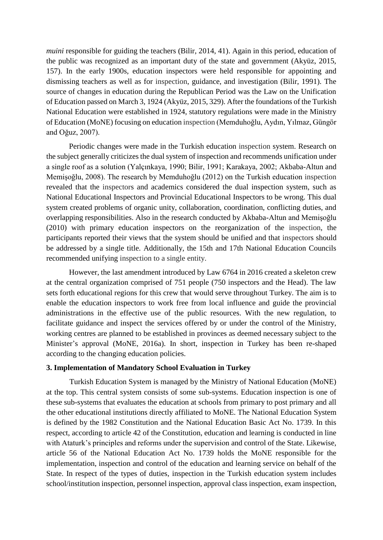*muini* responsible for guiding the teachers (Bilir, 2014, 41). Again in this period, education of the public was recognized as an important duty of the state and government (Akyüz, 2015, 157). In the early 1900s, education inspectors were held responsible for appointing and dismissing teachers as well as for inspection, guidance, and investigation (Bilir, 1991). The source of changes in education during the Republican Period was the Law on the Unification of Education passed on March 3, 1924 (Akyüz, 2015, 329). After the foundations of the Turkish National Education were established in 1924, statutory regulations were made in the Ministry of Education (MoNE) focusing on education inspection (Memduhoğlu, Aydın, Yılmaz, Güngör and Oğuz, 2007).

Periodic changes were made in the Turkish education inspection system. Research on the subject generally criticizes the dual system of inspection and recommends unification under a single roof as a solution (Yalçınkaya, 1990; Bilir, 1991; Karakaya, 2002; Akbaba-Altun and Memişoğlu, 2008). The research by Memduhoğlu (2012) on the Turkish education inspection revealed that the inspectors and academics considered the dual inspection system, such as National Educational Inspectors and Provincial Educational Inspectors to be wrong. This dual system created problems of organic unity, collaboration, coordination, conflicting duties, and overlapping responsibilities. Also in the research conducted by Akbaba-Altun and Memişoğlu (2010) with primary education inspectors on the reorganization of the inspection, the participants reported their views that the system should be unified and that inspectors should be addressed by a single title. Additionally, the 15th and 17th National Education Councils recommended unifying inspection to a single entity.

However, the last amendment introduced by Law 6764 in 2016 created a skeleton crew at the central organization comprised of 751 people (750 inspectors and the Head). The law sets forth educational regions for this crew that would serve throughout Turkey. The aim is to enable the education inspectors to work free from local influence and guide the provincial administrations in the effective use of the public resources. With the new regulation, to facilitate guidance and inspect the services offered by or under the control of the Ministry, working centres are planned to be established in provinces as deemed necessary subject to the Minister's approval (MoNE, 2016a). In short, inspection in Turkey has been re-shaped according to the changing education policies.

#### **3. Implementation of Mandatory School Evaluation in Turkey**

Turkish Education System is managed by the Ministry of National Education (MoNE) at the top. This central system consists of some sub-systems. Education inspection is one of these sub-systems that evaluates the education at schools from primary to post primary and all the other educational institutions directly affiliated to MoNE. The National Education System is defined by the 1982 Constitution and the National Education Basic Act No. 1739. In this respect, according to article 42 of the Constitution, education and learning is conducted in line with Ataturk's principles and reforms under the supervision and control of the State. Likewise, article 56 of the National Education Act No. 1739 holds the MoNE responsible for the implementation, inspection and control of the education and learning service on behalf of the State. In respect of the types of duties, inspection in the Turkish education system includes school/institution inspection, personnel inspection, approval class inspection, exam inspection,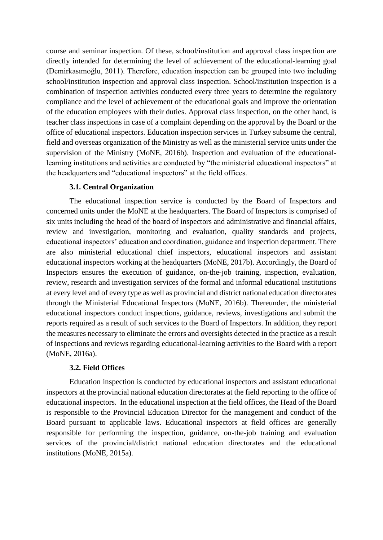course and seminar inspection. Of these, school/institution and approval class inspection are directly intended for determining the level of achievement of the educational-learning goal (Demirkasımoğlu, 2011). Therefore, education inspection can be grouped into two including school/institution inspection and approval class inspection. School/institution inspection is a combination of inspection activities conducted every three years to determine the regulatory compliance and the level of achievement of the educational goals and improve the orientation of the education employees with their duties. Approval class inspection, on the other hand, is teacher class inspections in case of a complaint depending on the approval by the Board or the office of educational inspectors. Education inspection services in Turkey subsume the central, field and overseas organization of the Ministry as well as the ministerial service units under the supervision of the Ministry (MoNE, 2016b). Inspection and evaluation of the educationallearning institutions and activities are conducted by "the ministerial educational inspectors" at the headquarters and "educational inspectors" at the field offices.

#### **3.1. Central Organization**

The educational inspection service is conducted by the Board of Inspectors and concerned units under the MoNE at the headquarters. The Board of Inspectors is comprised of six units including the head of the board of inspectors and administrative and financial affairs, review and investigation, monitoring and evaluation, quality standards and projects, educational inspectors' education and coordination, guidance and inspection department. There are also ministerial educational chief inspectors, educational inspectors and assistant educational inspectors working at the headquarters (MoNE, 2017b). Accordingly, the Board of Inspectors ensures the execution of guidance, on-the-job training, inspection, evaluation, review, research and investigation services of the formal and informal educational institutions at every level and of every type as well as provincial and district national education directorates through the Ministerial Educational Inspectors (MoNE, 2016b). Thereunder, the ministerial educational inspectors conduct inspections, guidance, reviews, investigations and submit the reports required as a result of such services to the Board of Inspectors. In addition, they report the measures necessary to eliminate the errors and oversights detected in the practice as a result of inspections and reviews regarding educational-learning activities to the Board with a report (MoNE, 2016a).

#### **3.2. Field Offices**

Education inspection is conducted by educational inspectors and assistant educational inspectors at the provincial national education directorates at the field reporting to the office of educational inspectors. In the educational inspection at the field offices, the Head of the Board is responsible to the Provincial Education Director for the management and conduct of the Board pursuant to applicable laws. Educational inspectors at field offices are generally responsible for performing the inspection, guidance, on-the-job training and evaluation services of the provincial/district national education directorates and the educational institutions (MoNE, 2015a).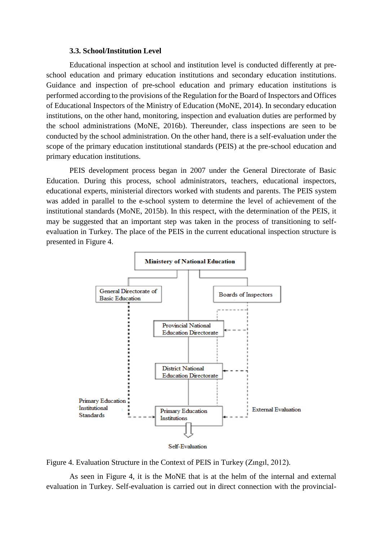#### **3.3. School/Institution Level**

Educational inspection at school and institution level is conducted differently at preschool education and primary education institutions and secondary education institutions. Guidance and inspection of pre-school education and primary education institutions is performed according to the provisions of the Regulation for the Board of Inspectors and Offices of Educational Inspectors of the Ministry of Education (MoNE, 2014). In secondary education institutions, on the other hand, monitoring, inspection and evaluation duties are performed by the school administrations (MoNE, 2016b). Thereunder, class inspections are seen to be conducted by the school administration. On the other hand, there is a self-evaluation under the scope of the primary education institutional standards (PEIS) at the pre-school education and primary education institutions.

PEIS development process began in 2007 under the General Directorate of Basic Education. During this process, school administrators, teachers, educational inspectors, educational experts, ministerial directors worked with students and parents. The PEIS system was added in parallel to the e-school system to determine the level of achievement of the institutional standards (MoNE, 2015b). In this respect, with the determination of the PEIS, it may be suggested that an important step was taken in the process of transitioning to selfevaluation in Turkey. The place of the PEIS in the current educational inspection structure is presented in Figure 4.



Figure 4. Evaluation Structure in the Context of PEIS in Turkey (Zıngıl, 2012).

As seen in Figure 4, it is the MoNE that is at the helm of the internal and external evaluation in Turkey. Self-evaluation is carried out in direct connection with the provincial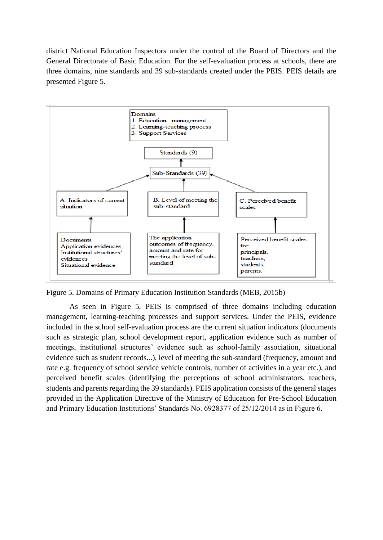district National Education Inspectors under the control of the Board of Directors and the General Directorate of Basic Education. For the self-evaluation process at schools, there are three domains, nine standards and 39 sub-standards created under the PEIS. PEIS details are presented Figure 5.



Figure 5. Domains of Primary Education Institution Standards (MEB, 2015b)

As seen in Figure 5, PEIS is comprised of three domains including education management, learning-teaching processes and support services. Under the PEIS, evidence included in the school self-evaluation process are the current situation indicators (documents such as strategic plan, school development report, application evidence such as number of meetings, institutional structures' evidence such as school-family association, situational evidence such as student records...), level of meeting the sub-standard (frequency, amount and rate e.g. frequency of school service vehicle controls, number of activities in a year etc.), and perceived benefit scales (identifying the perceptions of school administrators, teachers, students and parents regarding the 39 standards). PEIS application consists of the general stages provided in the Application Directive of the Ministry of Education for Pre-School Education and Primary Education Institutions' Standards No. 6928377 of 25/12/2014 as in Figure 6.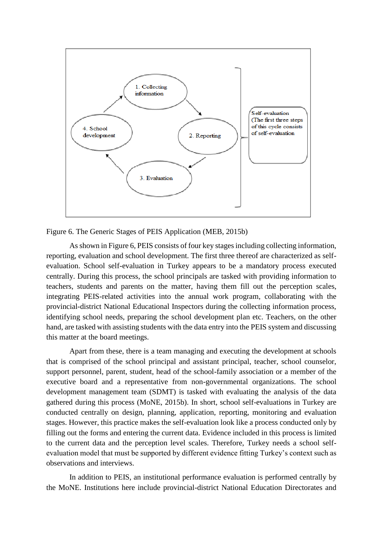

Figure 6. The Generic Stages of PEIS Application (MEB, 2015b)

As shown in Figure 6, PEIS consists of four key stages including collecting information, reporting, evaluation and school development. The first three thereof are characterized as selfevaluation. School self-evaluation in Turkey appears to be a mandatory process executed centrally. During this process, the school principals are tasked with providing information to teachers, students and parents on the matter, having them fill out the perception scales, integrating PEIS-related activities into the annual work program, collaborating with the provincial-district National Educational Inspectors during the collecting information process, identifying school needs, preparing the school development plan etc. Teachers, on the other hand, are tasked with assisting students with the data entry into the PEIS system and discussing this matter at the board meetings.

Apart from these, there is a team managing and executing the development at schools that is comprised of the school principal and assistant principal, teacher, school counselor, support personnel, parent, student, head of the school-family association or a member of the executive board and a representative from non-governmental organizations. The school development management team (SDMT) is tasked with evaluating the analysis of the data gathered during this process (MoNE, 2015b). In short, school self-evaluations in Turkey are conducted centrally on design, planning, application, reporting, monitoring and evaluation stages. However, this practice makes the self-evaluation look like a process conducted only by filling out the forms and entering the current data. Evidence included in this process is limited to the current data and the perception level scales. Therefore, Turkey needs a school selfevaluation model that must be supported by different evidence fitting Turkey's context such as observations and interviews.

In addition to PEIS, an institutional performance evaluation is performed centrally by the MoNE. Institutions here include provincial-district National Education Directorates and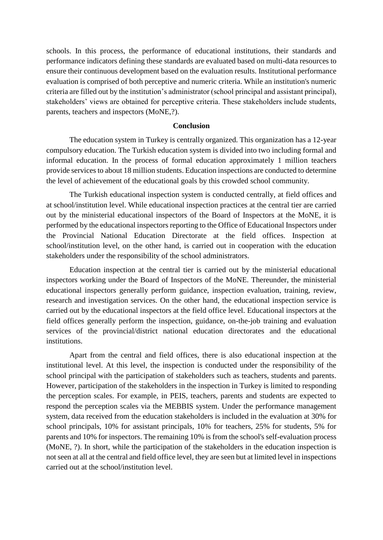schools. In this process, the performance of educational institutions, their standards and performance indicators defining these standards are evaluated based on multi-data resources to ensure their continuous development based on the evaluation results. Institutional performance evaluation is comprised of both perceptive and numeric criteria. While an institution's numeric criteria are filled out by the institution's administrator (school principal and assistant principal), stakeholders' views are obtained for perceptive criteria. These stakeholders include students, parents, teachers and inspectors (MoNE,?).

#### **Conclusion**

The education system in Turkey is centrally organized. This organization has a 12-year compulsory education. The Turkish education system is divided into two including formal and informal education. In the process of formal education approximately 1 million teachers provide services to about 18 million students. Education inspections are conducted to determine the level of achievement of the educational goals by this crowded school community.

The Turkish educational inspection system is conducted centrally, at field offices and at school/institution level. While educational inspection practices at the central tier are carried out by the ministerial educational inspectors of the Board of Inspectors at the MoNE, it is performed by the educational inspectors reporting to the Office of Educational Inspectors under the Provincial National Education Directorate at the field offices. Inspection at school/institution level, on the other hand, is carried out in cooperation with the education stakeholders under the responsibility of the school administrators.

Education inspection at the central tier is carried out by the ministerial educational inspectors working under the Board of Inspectors of the MoNE. Thereunder, the ministerial educational inspectors generally perform guidance, inspection evaluation, training, review, research and investigation services. On the other hand, the educational inspection service is carried out by the educational inspectors at the field office level. Educational inspectors at the field offices generally perform the inspection, guidance, on-the-job training and evaluation services of the provincial/district national education directorates and the educational institutions.

Apart from the central and field offices, there is also educational inspection at the institutional level. At this level, the inspection is conducted under the responsibility of the school principal with the participation of stakeholders such as teachers, students and parents. However, participation of the stakeholders in the inspection in Turkey is limited to responding the perception scales. For example, in PEIS, teachers, parents and students are expected to respond the perception scales via the MEBBIS system. Under the performance management system, data received from the education stakeholders is included in the evaluation at 30% for school principals, 10% for assistant principals, 10% for teachers, 25% for students, 5% for parents and 10% for inspectors. The remaining 10% is from the school's self-evaluation process (MoNE, ?). In short, while the participation of the stakeholders in the education inspection is not seen at all at the central and field office level, they are seen but at limited level in inspections carried out at the school/institution level.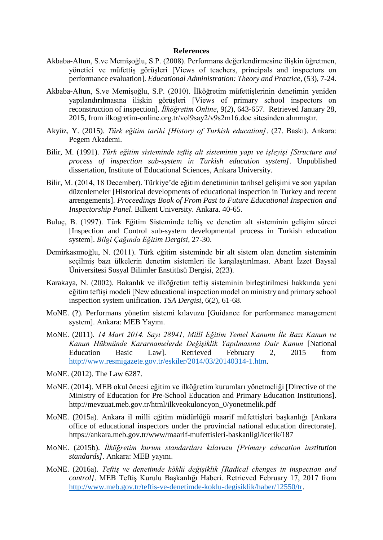#### **References**

- Akbaba-Altun, S.ve Memişoğlu, S.P. (2008). Performans değerlendirmesine ilişkin öğretmen, yönetici ve müfettiş görüşleri [Views of teachers, principals and inspectors on performance evaluation]. *Educational Administration: Theory and Practice*, (53), 7-24.
- Akbaba-Altun, S.ve Memişoğlu, S.P. (2010). İlköğretim müfettişlerinin denetimin yeniden yapılandırılmasına ilişkin görüşleri [Views of primary school inspectors on reconstruction of inspection]. *İlköğretim Online*, 9(*2*), 643-657. Retrieved January 28, 2015, from ilkogretim-online.org.tr/vol9say2/v9s2m16.doc sitesinden alınmıştır.
- Akyüz, Y. (2015). *Türk eğitim tarihi [History of Turkish education]*. (27. Baskı). Ankara: Pegem Akademi.
- Bilir, M. (1991). *Türk eğitim sisteminde teftiş alt sisteminin yapı ve işleyişi [Structure and process of inspection sub-system in Turkish education system]*. Unpublished dissertation, Institute of Educational Sciences, Ankara University.
- Bilir, M. (2014, 18 December). Türkiye'de eğitim denetiminin tarihsel gelişimi ve son yapılan düzenlemeler [Historical developments of educational inspection in Turkey and recent arrengements]. *Proceedings Book of From Past to Future Educational Inspection and Inspectorship Panel*. Bilkent University. Ankara. 40-65.
- Buluç, B. (1997). Türk Eğitim Sisteminde teftiş ve denetim alt sisteminin gelişim süreci [Inspection and Control sub-system developmental process in Turkish education system]. *Bilgi Çağında Eğitim Dergisi*, 27-30.
- Demirkasımoğlu, N. (2011). Türk eğitim sisteminde bir alt sistem olan denetim sisteminin seçilmiş bazı ülkelerin denetim sistemleri ile karşılaştırılması. Abant İzzet Baysal Üniversitesi Sosyal Bilimler Enstitüsü Dergisi, 2(23).
- Karakaya, N. (2002). Bakanlık ve ilköğretim teftiş sisteminin birleştirilmesi hakkında yeni eğitim teftişi modeli [New educational inspection model on ministry and primary school inspection system unification. *TSA Dergisi*, 6(*2*), 61-68.
- MoNE. (?). Performans yönetim sistemi kılavuzu [Guidance for performance management system]. Ankara: MEB Yayını.
- MoNE. (2011). *14 Mart 2014. Sayı 28941, Millî Eğitim Temel Kanunu İle Bazı Kanun ve Kanun Hükmünde Kararnamelerde Değişiklik Yapılmasına Dair Kanun* [National Education Basic Law]. Retrieved February 2, 2015 from [http://www.resmigazete.gov.tr/eskiler/2014/03/20140314-1.htm.](http://www.resmigazete.gov.tr/eskiler/2014/03/20140314-1.htm)
- MoNE. (2012). The Law 6287.
- MoNE. (2014). MEB okul öncesi eğitim ve ilköğretim kurumları yönetmeliği [Directive of the Ministry of Education for Pre-School Education and Primary Education Institutions]. http://mevzuat.meb.gov.tr/html/ilkveokuloncyon\_0/yonetmelik.pdf
- MoNE. (2015a). Ankara il milli eğitim müdürlüğü maarif müfettişleri başkanlığı [Ankara office of educational inspectors under the provincial national education directorate]. https://ankara.meb.gov.tr/www/maarif-mufettisleri-baskanligi/icerik/187
- MoNE. (2015b). *İlköğretim kurum standartları kılavuzu [Primary education institution standards]*. Ankara: MEB yayını.
- MoNE. (2016a). *Teftiş ve denetimde köklü değişiklik [Radical chenges in inspection and control]*. MEB Teftiş Kurulu Başkanlığı Haberi. Retrieved February 17, 2017 from [http://www.meb.gov.tr/teftis-ve-denetimde-koklu-degisiklik/haber/12550/tr.](http://www.meb.gov.tr/teftis-ve-denetimde-koklu-degisiklik/haber/12550/tr)